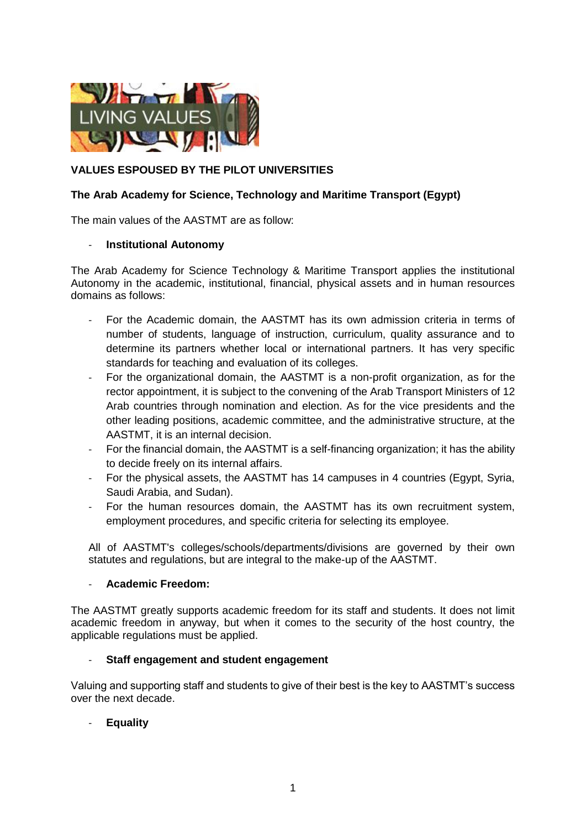

# **VALUES ESPOUSED BY THE PILOT UNIVERSITIES**

## **The Arab Academy for Science, Technology and Maritime Transport (Egypt)**

The main values of the AASTMT are as follow:

### - **Institutional Autonomy**

The Arab Academy for Science Technology & Maritime Transport applies the institutional Autonomy in the academic, institutional, financial, physical assets and in human resources domains as follows:

- For the Academic domain, the AASTMT has its own admission criteria in terms of number of students, language of instruction, curriculum, quality assurance and to determine its partners whether local or international partners. It has very specific standards for teaching and evaluation of its colleges.
- For the organizational domain, the AASTMT is a non-profit organization, as for the rector appointment, it is subject to the convening of the Arab Transport Ministers of 12 Arab countries through nomination and election. As for the vice presidents and the other leading positions, academic committee, and the administrative structure, at the AASTMT, it is an internal decision.
- For the financial domain, the AASTMT is a self-financing organization; it has the ability to decide freely on its internal affairs.
- For the physical assets, the AASTMT has 14 campuses in 4 countries (Egypt, Syria, Saudi Arabia, and Sudan).
- For the human resources domain, the AASTMT has its own recruitment system, employment procedures, and specific criteria for selecting its employee.

All of AASTMT's colleges/schools/departments/divisions are governed by their own statutes and regulations, but are integral to the make-up of the AASTMT.

#### - **Academic Freedom:**

The AASTMT greatly supports academic freedom for its staff and students. It does not limit academic freedom in anyway, but when it comes to the security of the host country, the applicable regulations must be applied.

## - **Staff engagement and student engagement**

Valuing and supporting staff and students to give of their best is the key to AASTMT's success over the next decade.

- **Equality**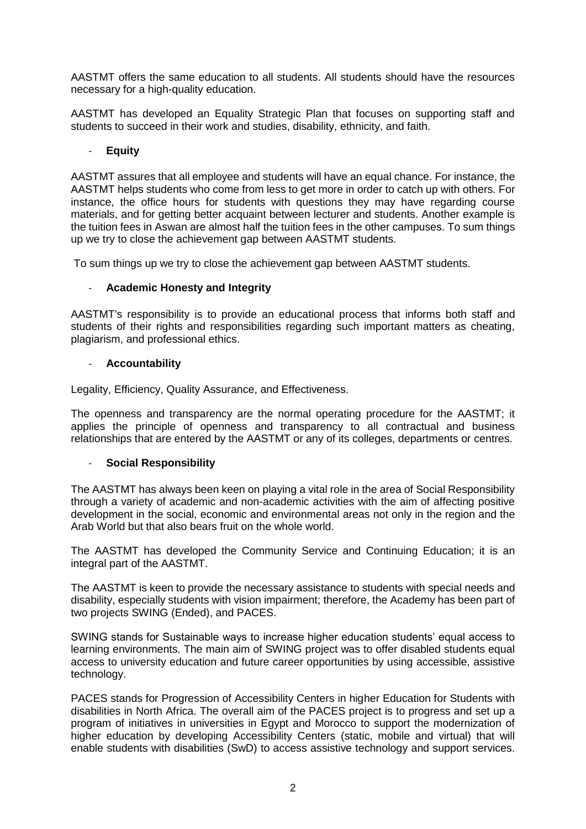AASTMT offers the same education to all students. All students should have the resources necessary for a high-quality education.

AASTMT has developed an Equality Strategic Plan that focuses on supporting staff and students to succeed in their work and studies, disability, ethnicity, and faith.

## - **Equity**

AASTMT assures that all employee and students will have an equal chance. For instance, the AASTMT helps students who come from less to get more in order to catch up with others. For instance, the office hours for students with questions they may have regarding course materials, and for getting better acquaint between lecturer and students. Another example is the tuition fees in Aswan are almost half the tuition fees in the other campuses. To sum things up we try to close the achievement gap between AASTMT students.

To sum things up we try to close the achievement gap between AASTMT students.

### - **Academic Honesty and Integrity**

AASTMT's responsibility is to provide an educational process that informs both staff and students of their rights and responsibilities regarding such important matters as cheating, plagiarism, and professional ethics.

#### - **Accountability**

Legality, Efficiency, Quality Assurance, and Effectiveness.

The openness and transparency are the normal operating procedure for the AASTMT; it applies the principle of openness and transparency to all contractual and business relationships that are entered by the AASTMT or any of its colleges, departments or centres.

#### - **Social Responsibility**

The AASTMT has always been keen on playing a vital role in the area of Social Responsibility through a variety of academic and non-academic activities with the aim of affecting positive development in the social, economic and environmental areas not only in the region and the Arab World but that also bears fruit on the whole world.

The AASTMT has developed the Community Service and Continuing Education; it is an integral part of the AASTMT.

The AASTMT is keen to provide the necessary assistance to students with special needs and disability, especially students with vision impairment; therefore, the Academy has been part of two projects SWING (Ended), and PACES.

SWING stands for Sustainable ways to increase higher education students' equal access to learning environments. The main aim of SWING project was to offer disabled students equal access to university education and future career opportunities by using accessible, assistive technology.

PACES stands for Progression of Accessibility Centers in higher Education for Students with disabilities in North Africa. The overall aim of the PACES project is to progress and set up a program of initiatives in universities in Egypt and Morocco to support the modernization of higher education by developing Accessibility Centers (static, mobile and virtual) that will enable students with disabilities (SwD) to access assistive technology and support services.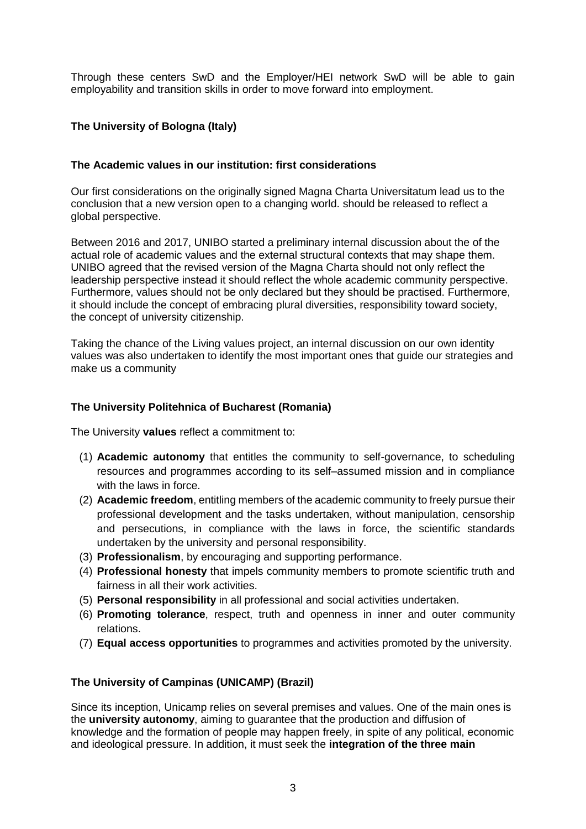Through these centers SwD and the Employer/HEI network SwD will be able to gain employability and transition skills in order to move forward into employment.

## **The University of Bologna (Italy)**

## **The Academic values in our institution: first considerations**

Our first considerations on the originally signed Magna Charta Universitatum lead us to the conclusion that a new version open to a changing world. should be released to reflect a global perspective.

Between 2016 and 2017, UNIBO started a preliminary internal discussion about the of the actual role of academic values and the external structural contexts that may shape them. UNIBO agreed that the revised version of the Magna Charta should not only reflect the leadership perspective instead it should reflect the whole academic community perspective. Furthermore, values should not be only declared but they should be practised. Furthermore, it should include the concept of embracing plural diversities, responsibility toward society, the concept of university citizenship.

Taking the chance of the Living values project, an internal discussion on our own identity values was also undertaken to identify the most important ones that guide our strategies and make us a community

### **The University Politehnica of Bucharest (Romania)**

The University **values** reflect a commitment to:

- (1) **Academic autonomy** that entitles the community to self-governance, to scheduling resources and programmes according to its self–assumed mission and in compliance with the laws in force.
- (2) **Academic freedom**, entitling members of the academic community to freely pursue their professional development and the tasks undertaken, without manipulation, censorship and persecutions, in compliance with the laws in force, the scientific standards undertaken by the university and personal responsibility.
- (3) **Professionalism**, by encouraging and supporting performance.
- (4) **Professional honesty** that impels community members to promote scientific truth and fairness in all their work activities.
- (5) **Personal responsibility** in all professional and social activities undertaken.
- (6) **Promoting tolerance**, respect, truth and openness in inner and outer community relations.
- (7) **Equal access opportunities** to programmes and activities promoted by the university.

## **The University of Campinas (UNICAMP) (Brazil)**

Since its inception, Unicamp relies on several premises and values. One of the main ones is the **university autonomy**, aiming to guarantee that the production and diffusion of knowledge and the formation of people may happen freely, in spite of any political, economic and ideological pressure. In addition, it must seek the **integration of the three main**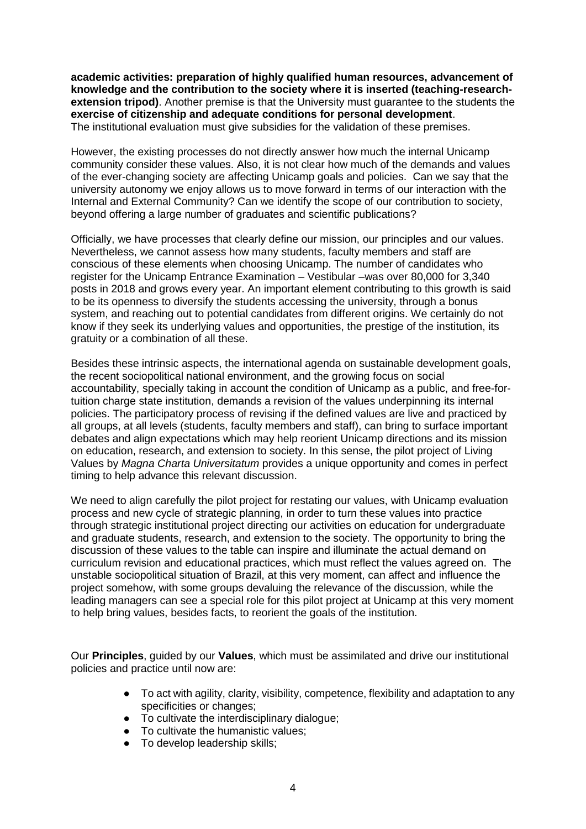**academic activities: preparation of highly qualified human resources, advancement of knowledge and the contribution to the society where it is inserted (teaching-researchextension tripod)**. Another premise is that the University must guarantee to the students the **exercise of citizenship and adequate conditions for personal development**. The institutional evaluation must give subsidies for the validation of these premises.

However, the existing processes do not directly answer how much the internal Unicamp community consider these values. Also, it is not clear how much of the demands and values of the ever-changing society are affecting Unicamp goals and policies. Can we say that the university autonomy we enjoy allows us to move forward in terms of our interaction with the Internal and External Community? Can we identify the scope of our contribution to society, beyond offering a large number of graduates and scientific publications?

Officially, we have processes that clearly define our mission, our principles and our values. Nevertheless, we cannot assess how many students, faculty members and staff are conscious of these elements when choosing Unicamp. The number of candidates who register for the Unicamp Entrance Examination – Vestibular –was over 80,000 for 3,340 posts in 2018 and grows every year. An important element contributing to this growth is said to be its openness to diversify the students accessing the university, through a bonus system, and reaching out to potential candidates from different origins. We certainly do not know if they seek its underlying values and opportunities, the prestige of the institution, its gratuity or a combination of all these.

Besides these intrinsic aspects, the international agenda on sustainable development goals, the recent sociopolitical national environment, and the growing focus on social accountability, specially taking in account the condition of Unicamp as a public, and free-fortuition charge state institution, demands a revision of the values underpinning its internal policies. The participatory process of revising if the defined values are live and practiced by all groups, at all levels (students, faculty members and staff), can bring to surface important debates and align expectations which may help reorient Unicamp directions and its mission on education, research, and extension to society. In this sense, the pilot project of Living Values by *Magna Charta Universitatum* provides a unique opportunity and comes in perfect timing to help advance this relevant discussion.

We need to align carefully the pilot project for restating our values, with Unicamp evaluation process and new cycle of strategic planning, in order to turn these values into practice through strategic institutional project directing our activities on education for undergraduate and graduate students, research, and extension to the society. The opportunity to bring the discussion of these values to the table can inspire and illuminate the actual demand on curriculum revision and educational practices, which must reflect the values agreed on. The unstable sociopolitical situation of Brazil, at this very moment, can affect and influence the project somehow, with some groups devaluing the relevance of the discussion, while the leading managers can see a special role for this pilot project at Unicamp at this very moment to help bring values, besides facts, to reorient the goals of the institution.

Our **Principles**, guided by our **Values**, which must be assimilated and drive our institutional policies and practice until now are:

- To act with agility, clarity, visibility, competence, flexibility and adaptation to any specificities or changes;
- To cultivate the interdisciplinary dialogue;
- To cultivate the humanistic values;
- To develop leadership skills;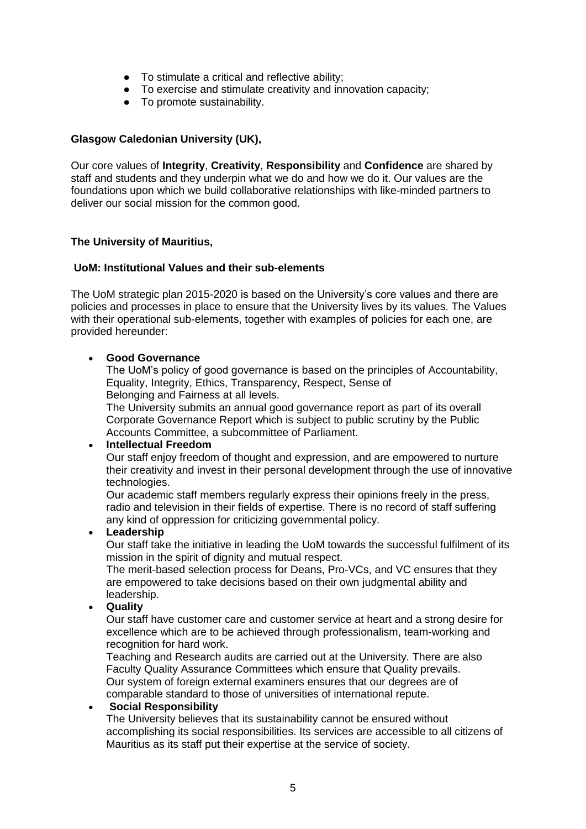- To stimulate a critical and reflective ability;
- To exercise and stimulate creativity and innovation capacity;
- To promote sustainability.

## **Glasgow Caledonian University (UK),**

Our core values of **Integrity**, **Creativity**, **Responsibility** and **Confidence** are shared by staff and students and they underpin what we do and how we do it. Our values are the foundations upon which we build collaborative relationships with like-minded partners to deliver our social mission for the common good.

### **The University of Mauritius,**

### **UoM: Institutional Values and their sub-elements**

The UoM strategic plan 2015-2020 is based on the University's core values and there are policies and processes in place to ensure that the University lives by its values. The Values with their operational sub-elements, together with examples of policies for each one, are provided hereunder:

### **Good Governance**

The UoM's policy of good governance is based on the principles of Accountability, Equality, Integrity, Ethics, Transparency, Respect, Sense of Belonging and Fairness at all levels.

The University submits an annual good governance report as part of its overall Corporate Governance Report which is subject to public scrutiny by the Public Accounts Committee, a subcommittee of Parliament.

#### **Intellectual Freedom**

Our staff enjoy freedom of thought and expression, and are empowered to nurture their creativity and invest in their personal development through the use of innovative technologies.

Our academic staff members regularly express their opinions freely in the press, radio and television in their fields of expertise. There is no record of staff suffering any kind of oppression for criticizing governmental policy.

#### **Leadership**

Our staff take the initiative in leading the UoM towards the successful fulfilment of its mission in the spirit of dignity and mutual respect.

The merit-based selection process for Deans, Pro-VCs, and VC ensures that they are empowered to take decisions based on their own judgmental ability and leadership.

### **Quality**

Our staff have customer care and customer service at heart and a strong desire for excellence which are to be achieved through professionalism, team-working and recognition for hard work.

Teaching and Research audits are carried out at the University. There are also Faculty Quality Assurance Committees which ensure that Quality prevails. Our system of foreign external examiners ensures that our degrees are of comparable standard to those of universities of international repute.

#### **Social Responsibility**

The University believes that its sustainability cannot be ensured without accomplishing its social responsibilities. Its services are accessible to all citizens of Mauritius as its staff put their expertise at the service of society.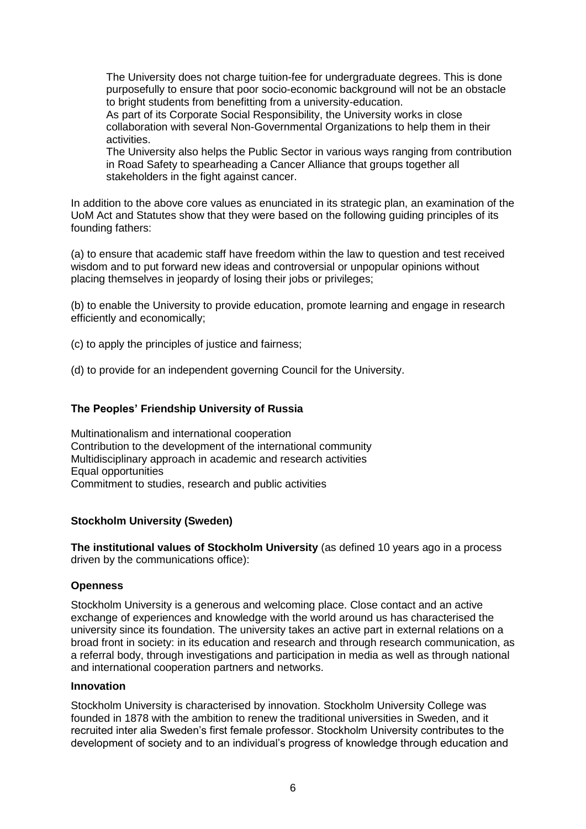The University does not charge tuition-fee for undergraduate degrees. This is done purposefully to ensure that poor socio-economic background will not be an obstacle to bright students from benefitting from a university-education. As part of its Corporate Social Responsibility, the University works in close collaboration with several Non-Governmental Organizations to help them in their activities. The University also helps the Public Sector in various ways ranging from contribution

in Road Safety to spearheading a Cancer Alliance that groups together all stakeholders in the fight against cancer.

In addition to the above core values as enunciated in its strategic plan, an examination of the UoM Act and Statutes show that they were based on the following guiding principles of its founding fathers:

(a) to ensure that academic staff have freedom within the law to question and test received wisdom and to put forward new ideas and controversial or unpopular opinions without placing themselves in jeopardy of losing their jobs or privileges;

(b) to enable the University to provide education, promote learning and engage in research efficiently and economically;

(c) to apply the principles of justice and fairness;

(d) to provide for an independent governing Council for the University.

## **The Peoples' Friendship University of Russia**

Multinationalism and international cooperation Contribution to the development of the international community Multidisciplinary approach in academic and research activities Equal opportunities Commitment to studies, research and public activities

## **Stockholm University (Sweden)**

**The institutional values of Stockholm University** (as defined 10 years ago in a process driven by the communications office):

#### **Openness**

Stockholm University is a generous and welcoming place. Close contact and an active exchange of experiences and knowledge with the world around us has characterised the university since its foundation. The university takes an active part in external relations on a broad front in society: in its education and research and through research communication, as a referral body, through investigations and participation in media as well as through national and international cooperation partners and networks.

### **Innovation**

Stockholm University is characterised by innovation. Stockholm University College was founded in 1878 with the ambition to renew the traditional universities in Sweden, and it recruited inter alia Sweden's first female professor. Stockholm University contributes to the development of society and to an individual's progress of knowledge through education and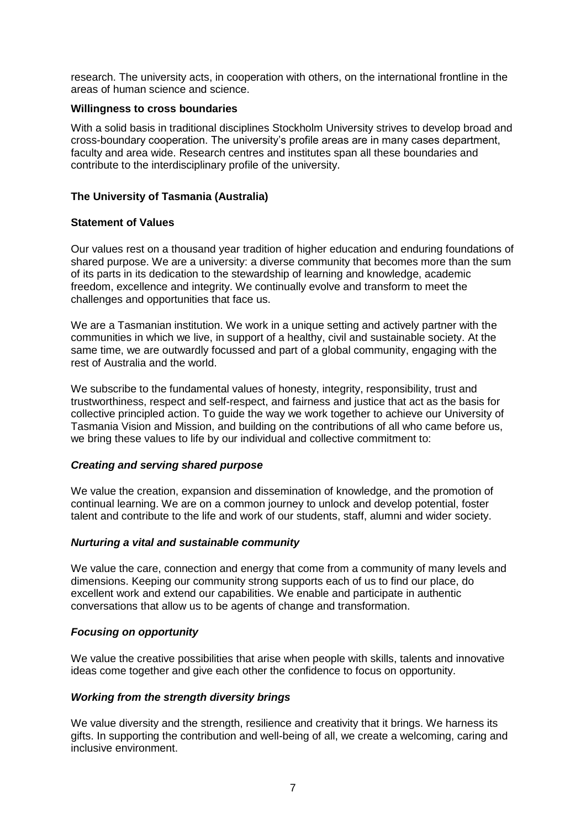research. The university acts, in cooperation with others, on the international frontline in the areas of human science and science.

### **Willingness to cross boundaries**

With a solid basis in traditional disciplines Stockholm University strives to develop broad and cross-boundary cooperation. The university's profile areas are in many cases department, faculty and area wide. Research centres and institutes span all these boundaries and contribute to the interdisciplinary profile of the university.

## **The University of Tasmania (Australia)**

### **Statement of Values**

Our values rest on a thousand year tradition of higher education and enduring foundations of shared purpose. We are a university: a diverse community that becomes more than the sum of its parts in its dedication to the stewardship of learning and knowledge, academic freedom, excellence and integrity. We continually evolve and transform to meet the challenges and opportunities that face us.

We are a Tasmanian institution. We work in a unique setting and actively partner with the communities in which we live, in support of a healthy, civil and sustainable society. At the same time, we are outwardly focussed and part of a global community, engaging with the rest of Australia and the world.

We subscribe to the fundamental values of honesty, integrity, responsibility, trust and trustworthiness, respect and self-respect, and fairness and justice that act as the basis for collective principled action. To guide the way we work together to achieve our University of Tasmania Vision and Mission, and building on the contributions of all who came before us, we bring these values to life by our individual and collective commitment to:

## *Creating and serving shared purpose*

We value the creation, expansion and dissemination of knowledge, and the promotion of continual learning. We are on a common journey to unlock and develop potential, foster talent and contribute to the life and work of our students, staff, alumni and wider society.

#### *Nurturing a vital and sustainable community*

We value the care, connection and energy that come from a community of many levels and dimensions. Keeping our community strong supports each of us to find our place, do excellent work and extend our capabilities. We enable and participate in authentic conversations that allow us to be agents of change and transformation.

## *Focusing on opportunity*

We value the creative possibilities that arise when people with skills, talents and innovative ideas come together and give each other the confidence to focus on opportunity.

## *Working from the strength diversity brings*

We value diversity and the strength, resilience and creativity that it brings. We harness its gifts. In supporting the contribution and well-being of all, we create a welcoming, caring and inclusive environment.